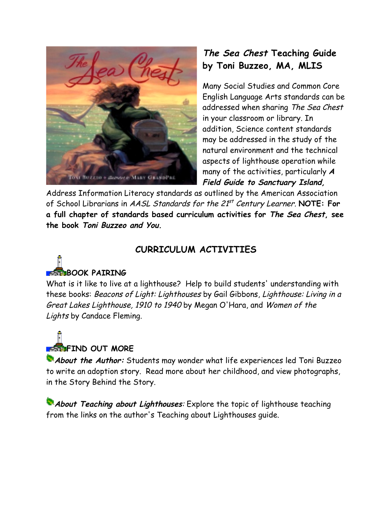

## **The Sea Chest Teaching Guide by Toni Buzzeo, MA, MLIS**

Many Social Studies and Common Core English Language Arts standards can be addressed when sharing The Sea Chest in your classroom or library. In addition, Science content standards may be addressed in the study of the natural environment and the technical aspects of lighthouse operation while many of the activities, particularly **A Field Guide to Sanctuary Island,**

Address Information Literacy standards as outlined by the American Association of School Librarians in AASL Standards for the 21<sup>st</sup> Century Learner. **NOTE: For a full chapter of standards based curriculum activities for The Sea Chest, see the book Toni Buzzeo and You.**

### **CURRICULUM ACTIVITIES**

# **BOOK PAIRING**

What is it like to live at a lighthouse? Help to build students' understanding with these books: Beacons of Light: Lighthouses by Gail Gibbons, Lighthouse: Living in a Great Lakes Lighthouse, 1910 to 1940 by Megan O'Hara, and Women of the Lights by Candace Fleming.

# **FIND OUT MORE**

**About the Author:** Students may wonder what life experiences led Toni Buzzeo to write an adoption story. Read more about her childhood, and view photographs, in the Story Behind the Story.

**About Teaching about Lighthouses:** Explore the topic of lighthouse teaching from the links on the author's Teaching about Lighthouses guide.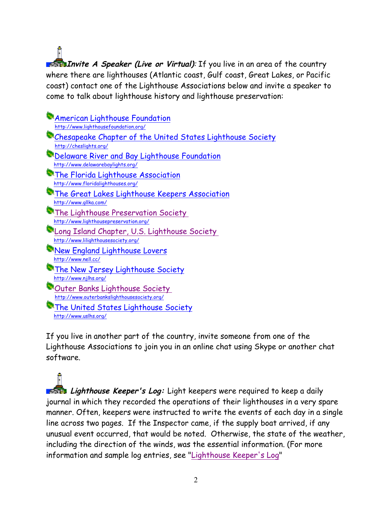**Invite A Speaker (Live or Virtual)**: If you live in an area of the country where there are lighthouses (Atlantic coast, Gulf coast, Great Lakes, or Pacific coast) contact one of the Lighthouse Associations below and invite a speaker to come to talk about lighthouse history and lighthouse preservation:

**American Lighthouse Foundation**  http://www.lighthousefoundation.org/ Chesapeake Chapter of the United States Lighthouse Society http://cheslights.org/ Delaware River and Bay Lighthouse Foundation http://www.delawarebaylights.org/ **The Florida Lighthouse Association**  http://www.floridalighthouses.org/ **The Great Lakes Lighthouse Keepers Association**  http://www.gllka.com/ **The Lighthouse Preservation Society**  http://www.lighthousepreservation.org/ Long Island Chapter, U.S. Lighthouse Society http://www.lilighthousesociety.org/ **New England Lighthouse Lovers**  http://www.nell.cc/ **The New Jersey Lighthouse Society**  http://www.njlhs.org/ **Couter Banks Lighthouse Society**  http://www.outerbankslighthousesociety.org/ **The United States Lighthouse Society** http://www.uslhs.org/

If you live in another part of the country, invite someone from one of the Lighthouse Associations to join you in an online chat using Skype or another chat software.

**Lighthouse Keeper's Log:** Light keepers were required to keep a daily journal in which they recorded the operations of their lighthouses in a very spare manner. Often, keepers were instructed to write the events of each day in a single line across two pages. If the Inspector came, if the supply boat arrived, if any unusual event occurred, that would be noted. Otherwise, the state of the weather, including the direction of the winds, was the essential information. (For more information and sample log entries, see "Lighthouse Keeper's Log"